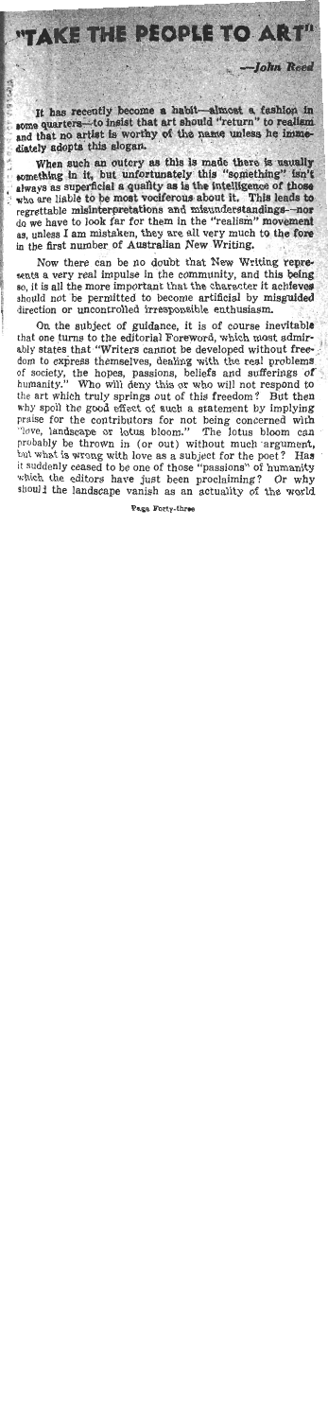## "TAKE THE PEOPLE TO ART"

It has recently become a habit—almost a fashion in some quarters—to insist that art should "return" to realism and that no artist is worthy of the name unless he immediately adopts this slogan.

-John Reed

When such an outcry as this is made there is usually something in it, but unfortunately this "something" isn't When such an outcry as this is made there is usually always as superficial a quality as is the intelligence of those who are liable to be most vociferous about it. This leads to regrettable misinterpretations and misunderstandings-nos ' do we have to look far for them in the "realism" movement **89,** unless I am mistaken, they are all very much to the fore in the first number of Australian New Writing.

Now there can be no doubt that New Writing **repre-**<br> **sents a very real impulse in the community, and this being** so, it is all the more important that the character it achieves should not be permitted to become artificial by misguided direction or uncontrolled irresponsible enthusiasm.

On the subject of guidance, it is of course inevitable that one turns to the editorial Foreword, which most admirably states that "Writers cannot be developed without freedom to express themselves, dealing with the real problems of society, the hopes, passions, beliefs and sufferings of humanity." Who will deny this or who will not respond to the art which truly springs out of this freedom? But then why spoil the good effect of such a statement by implying praise for the contributors for not being concerned with "love, landscape or lotus bloom." The lotus bloom can probably be thrown in (or out) without much argument, **but** what is wrong with love as a subject for the poet? Has it suddenly ceased to be one of those "passions" of humanity<br>which the editors have just been proclaiming? Or why should the landscape vanish as an actuality of the world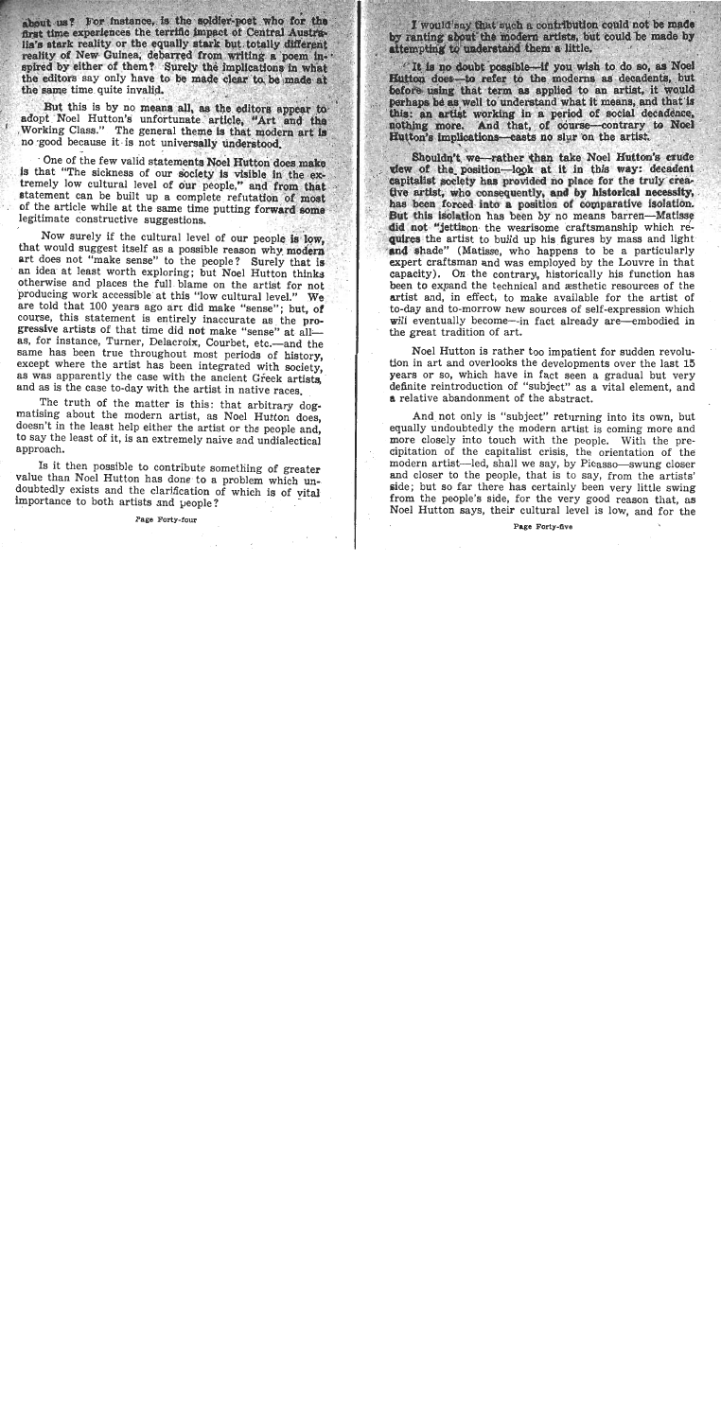shout us? For instance, is the soldier-poet who for the first time experiences the terrific impact of Central Australia's stark reality or the equally stark but totally different reality of New Guinea, debarred from writing a poem inspired by either of them? Surely the implications in what the editors say only have to be made clear to be made at the same time quite invalid.

But this is by no means all, as the editors appear to adont Noel Hutton's unfortunate article, "Art and the Working Class." The general theme is that modern art is no good because it is not universally understood.

One of the few valid statements Noel Hutton does make is that "The sickness of our society is visible in the extremely low cultural level of our people." and from that statement can be built up a complete refutation of most of the article while at the same time putting forward some legitimate constructive suggestions.

Now surely if the cultural level of our people is low. that would suggest itself as a possible reason why modern art does not "make sense" to the people? Surely that is an idea at least worth exploring; but Noel Hutton thinks otherwise and places the full blame on the artist for not producing work accessible at this "low cultural level." We are told that 100 years ago art did make "sense"; but, of course, this statement is entirely inaccurate as the progressive artists of that time did not make "sense" at allas, for instance, Turner, Delacroix, Courbet, etc.-and the same has been true throughout most periods of history. except where the artist has been integrated with society. as was apparently the case with the ancient Greek artists. and as is the case to-day with the artist in native races.

The truth of the matter is this: that arbitrary dogmatising about the modern artist, as Noel Hutton does, doesn't in the least help either the artist or the people and, to say the least of it, is an extremely naive and undialectical approach.

Is it then possible to contribute something of greater value than Noel Hutton has done to a problem which undoubtedly exists and the clarification of which is of vital importance to both artists and people?

Page Forty-four

I would say that such a contribution could not be made by ranting about the modern artists, but could be made by attempting to understand them a little.

It is no doubt possible-if you wish to do so, as Noel Hutton does-to refer to the moderns as decadents, but before using that term as applied to an artist, it would perhaps be as well to understand what it means, and that is this: an artist working in a period of social decadence, nothing more. And that, of course-contrary to Noel Hutton's implications-casts no slur on the artist.

Shouldn't we-rather than take Noel Hutton's crude view of the position-look at it in this way: decadent capitalist society has provided no place for the truly creafive artist, who consequently, and by historical necessity. has been forced into a position of comparative isolation, But this isolation has been by no means barren-Matisse did not "jettison the wearisome craftsmanship which requires the artist to build up his figures by mass and light and shade" (Matisse, who happens to be a particularly expert craftsman and was employed by the Louvre in that capacity). On the contrary, historically his function has been to expand the technical and æsthetic resources of the artist and, in effect, to make available for the artist of to-day and to-morrow new sources of self-expression which will eventually become—in fact already are—embodied in the great tradition of art.

Noel Hutton is rather too impatient for sudden revolution in art and overlooks the developments over the last 15 years or so, which have in fact seen a gradual but very definite reintroduction of "subject" as a vital element, and a relative abandonment of the abstract.

And not only is "subject" returning into its own, but equally undoubtedly the modern artist is coming more and more closely into touch with the people. With the precipitation of the capitalist crisis, the orientation of the modern artist-led, shall we say, by Picasso-swung closer and closer to the people, that is to say, from the artists' side; but so far there has certainly been very little swing from the people's side, for the very good reason that, as Noel Hutton says, their cultural level is low, and for the